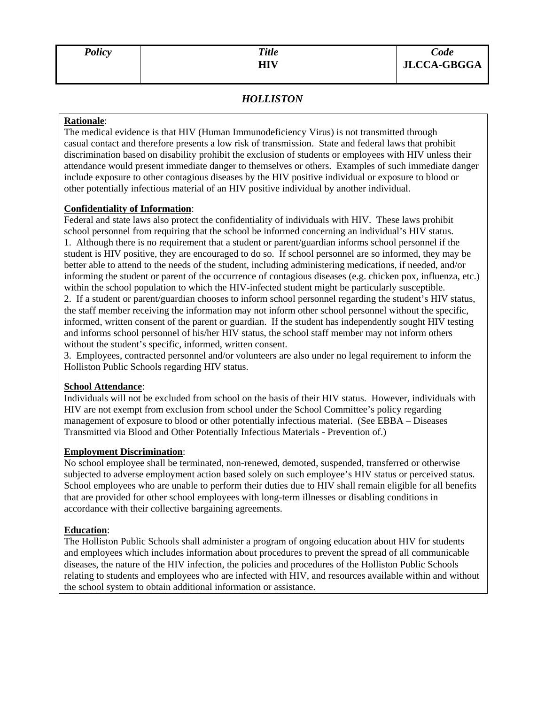# *HOLLISTON*

### **Rationale**:

The medical evidence is that HIV (Human Immunodeficiency Virus) is not transmitted through casual contact and therefore presents a low risk of transmission. State and federal laws that prohibit discrimination based on disability prohibit the exclusion of students or employees with HIV unless their attendance would present immediate danger to themselves or others. Examples of such immediate danger include exposure to other contagious diseases by the HIV positive individual or exposure to blood or other potentially infectious material of an HIV positive individual by another individual.

## **Confidentiality of Information**:

Federal and state laws also protect the confidentiality of individuals with HIV. These laws prohibit school personnel from requiring that the school be informed concerning an individual's HIV status. 1. Although there is no requirement that a student or parent/guardian informs school personnel if the student is HIV positive, they are encouraged to do so. If school personnel are so informed, they may be better able to attend to the needs of the student, including administering medications, if needed, and/or informing the student or parent of the occurrence of contagious diseases (e.g. chicken pox, influenza, etc.) within the school population to which the HIV-infected student might be particularly susceptible.

2. If a student or parent/guardian chooses to inform school personnel regarding the student's HIV status, the staff member receiving the information may not inform other school personnel without the specific, informed, written consent of the parent or guardian. If the student has independently sought HIV testing and informs school personnel of his/her HIV status, the school staff member may not inform others without the student's specific, informed, written consent.

3. Employees, contracted personnel and/or volunteers are also under no legal requirement to inform the Holliston Public Schools regarding HIV status.

# **School Attendance**:

Individuals will not be excluded from school on the basis of their HIV status. However, individuals with HIV are not exempt from exclusion from school under the School Committee's policy regarding management of exposure to blood or other potentially infectious material. (See EBBA – Diseases Transmitted via Blood and Other Potentially Infectious Materials - Prevention of.)

## **Employment Discrimination**:

No school employee shall be terminated, non-renewed, demoted, suspended, transferred or otherwise subjected to adverse employment action based solely on such employee's HIV status or perceived status. School employees who are unable to perform their duties due to HIV shall remain eligible for all benefits that are provided for other school employees with long-term illnesses or disabling conditions in accordance with their collective bargaining agreements.

#### **Education**:

The Holliston Public Schools shall administer a program of ongoing education about HIV for students and employees which includes information about procedures to prevent the spread of all communicable diseases, the nature of the HIV infection, the policies and procedures of the Holliston Public Schools relating to students and employees who are infected with HIV, and resources available within and without the school system to obtain additional information or assistance.